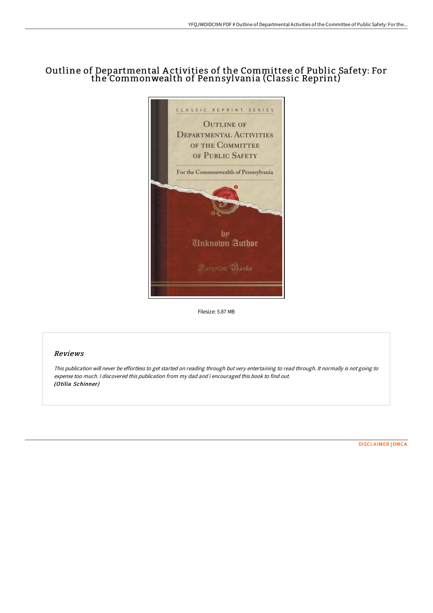# Outline of Departmental A ctivities of the Committee of Public Safety: For the Commonwealth of Pennsylvania (Classic Reprint)



Filesize: 5.87 MB

## Reviews

This publication will never be effortless to get started on reading through but very entertaining to read through. It normally is not going to expense too much. <sup>I</sup> discovered this publication from my dad and i encouraged this book to find out. (Otilia Schinner)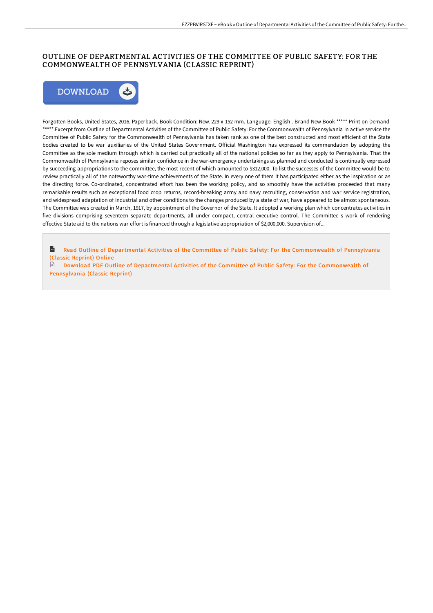# OUTLINE OF DEPARTMENTAL ACTIVITIES OF THE COMMITTEE OF PUBLIC SAFETY: FOR THE COMMONWEALTH OF PENNSYLVANIA (CLASSIC REPRINT)



Forgotten Books, United States, 2016. Paperback. Book Condition: New. 229 x 152 mm. Language: English . Brand New Book \*\*\*\*\* Print on Demand \*\*\*\*\*.Excerpt from Outline of Departmental Activities of the Committee of Public Safety: For the Commonwealth of Pennsylvania In active service the Committee of Public Safety for the Commonwealth of Pennsylvania has taken rank as one of the best constructed and most efficient of the State bodies created to be war auxiliaries of the United States Government. Official Washington has expressed its commendation by adopting the Committee as the sole medium through which is carried out practically all of the national policies so far as they apply to Pennsylvania. That the Commonwealth of Pennsylvania reposes similar confidence in the war-emergency undertakings as planned and conducted is continually expressed by succeeding appropriations to the committee, the most recent of which amounted to \$312,000. To list the successes of the Committee would be to review practically all of the noteworthy war-time achievements of the State. In every one of them it has participated either as the inspiration or as the directing force. Co-ordinated, concentrated effort has been the working policy, and so smoothly have the activities proceeded that many remarkable results such as exceptional food crop returns, record-breaking army and navy recruiting, conservation and war service registration, and widespread adaptation of industrial and other conditions to the changes produced by a state of war, have appeared to be almost spontaneous. The Committee was created in March, 1917, by appointment of the Governor of the State. It adopted a working plan which concentrates activities in five divisions comprising seventeen separate departments, all under compact, central executive control. The Committee s work of rendering effective State aid to the nations war effort is financed through a legislative appropriation of \$2,000,000. Supervision of...

 $\mathbf{r}$ Read Outline of Departmental Activities of the Committee of Public Safety: For the [Commonwealth](http://www.bookdirs.com/outline-of-departmental-activities-of-the-commit.html) of Pennsylvania (Classic Reprint) Online

 $\mathbb{R}$ Download PDF Outline of Departmental Activities of the Committee of Public Safety: For the [Commonwealth](http://www.bookdirs.com/outline-of-departmental-activities-of-the-commit.html) of Pennsylvania (Classic Reprint)